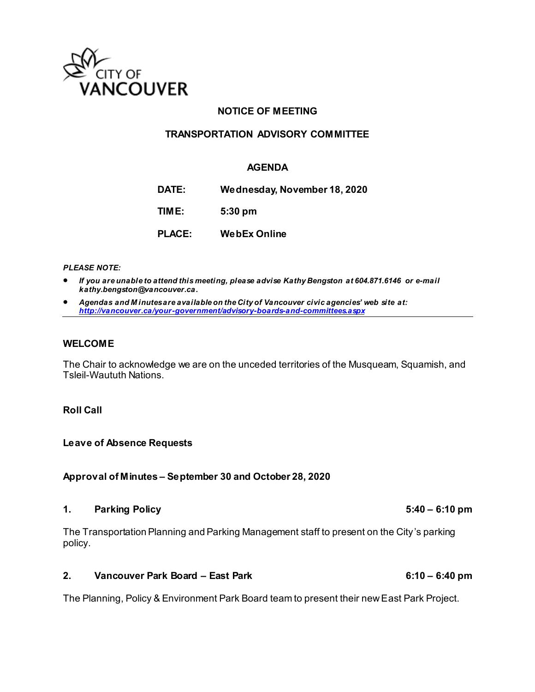

### **NOTICE OF MEETING**

#### **TRANSPORTATION ADVISORY COMMITTEE**

#### **AGENDA**

**DATE: Wednesday, November 18, 2020 TIME: 5:30 pm PLACE: WebEx Online**

*PLEASE NOTE:*

- *If you are unable to attend this meeting, please advise Kathy Bengston at 604.871.6146 or e-mail kathy.bengston@vancouver.ca.*
- *Agendas and M inutes are available on the City of Vancouver civic agencies' web site at: <http://vancouver.ca/your-government/advisory-boards-and-committees.aspx>*

#### **WELCOME**

The Chair to acknowledge we are on the unceded territories of the Musqueam, Squamish, and Tsleil-Waututh Nations.

#### **Roll Call**

**Leave of Absence Requests**

#### **Approval of Minutes – September 30 and October 28, 2020**

#### **1. Parking Policy 5:40 – 6:10 pm**

The Transportation Planning and Parking Management staff to present on the City's parking policy.

#### **2. Vancouver Park Board – East Park 6:10 – 6:40 pm**

The Planning, Policy & Environment Park Board team to present their new East Park Project.